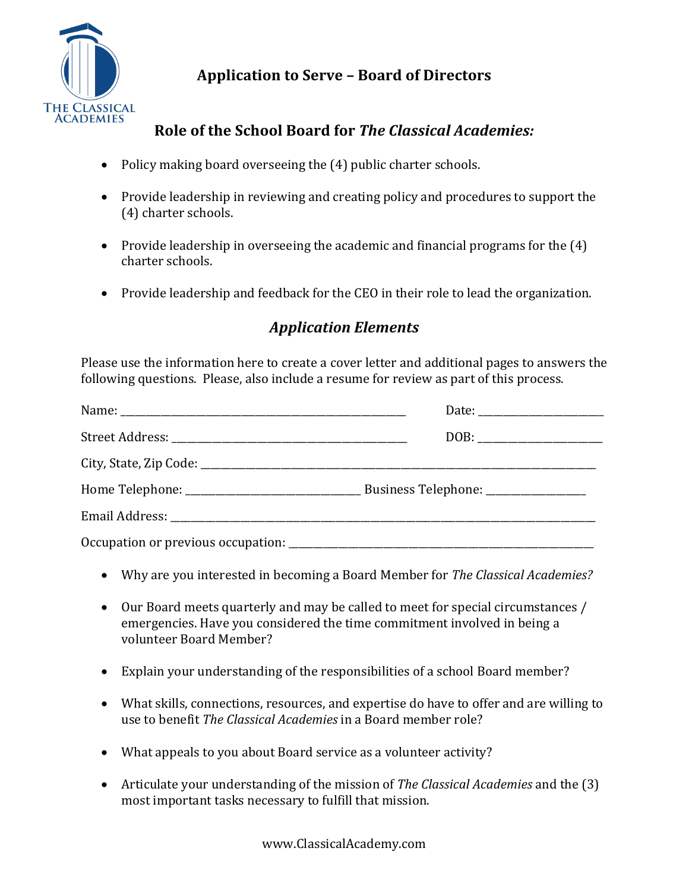

## **Application to Serve – Board of Directors**

## **Role of the School Board for** *The Classical Academies:*

- Policy making board overseeing the  $(4)$  public charter schools.
- Provide leadership in reviewing and creating policy and procedures to support the (4) charter schools.
- Provide leadership in overseeing the academic and financial programs for the  $(4)$ charter schools.
- Provide leadership and feedback for the CEO in their role to lead the organization.

## *Application Elements*

Please use the information here to create a cover letter and additional pages to answers the following questions. Please, also include a resume for review as part of this process.

- Why are you interested in becoming a Board Member for *The Classical Academies?*
- Our Board meets quarterly and may be called to meet for special circumstances / emergencies. Have you considered the time commitment involved in being a volunteer Board Member?
- Explain your understanding of the responsibilities of a school Board member?
- What skills, connections, resources, and expertise do have to offer and are willing to use to benefit *The Classical Academies* in a Board member role?
- What appeals to you about Board service as a volunteer activity?
- Articulate your understanding of the mission of *The Classical Academies* and the (3) most important tasks necessary to fulfill that mission.